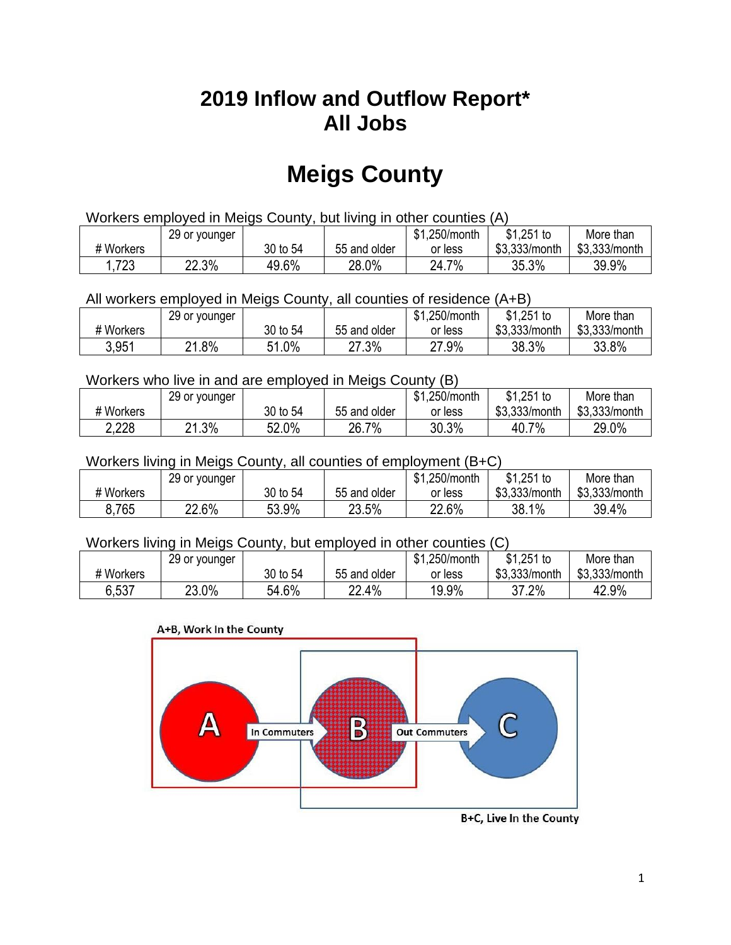## **2019 Inflow and Outflow Report\* All Jobs**

# **Meigs County**

| Workers employed in Meigs County, but living in other counties (A) |                                                           |          |              |         |               |               |  |  |  |
|--------------------------------------------------------------------|-----------------------------------------------------------|----------|--------------|---------|---------------|---------------|--|--|--|
|                                                                    | \$1.251 to<br>\$1.250/month<br>More than<br>29 or younger |          |              |         |               |               |  |  |  |
| # Workers                                                          |                                                           | 30 to 54 | 55 and older | or less | \$3,333/month | \$3,333/month |  |  |  |
| 1,723                                                              | 22.3%                                                     | 49.6%    | 28.0%        | 24.7%   | 35.3%         | 39.9%         |  |  |  |

All workers employed in Meigs County, all counties of residence (A+B)

|           | 29 or younger |               |              | \$1,250/month | $$1,251$ to   | More than     |
|-----------|---------------|---------------|--------------|---------------|---------------|---------------|
| # Workers |               | 30 to 54      | 55 and older | or less       | \$3,333/month | \$3,333/month |
| 3,951     | .8%<br>ດ4     | 51.0%<br>C 4. | 27.3%        | 27.9%         | 38.3%         | 33.8%         |

#### Workers who live in and are employed in Meigs County (B)

|           | 29 or younger |          |              | \$1,250/month | $$1,251$ to   | More than     |
|-----------|---------------|----------|--------------|---------------|---------------|---------------|
| # Workers |               | 30 to 54 | 55 and older | or less       | \$3,333/month | \$3,333/month |
| 2,228     | $.3\%$<br>ິດ  | 52.0%    | 26.7%        | 30.3%         | $7\%$<br>40.7 | 29.0%         |

#### Workers living in Meigs County, all counties of employment (B+C)

|           | 29 or younger |          |              | \$1,250/month | \$1,251 to    | More than     |
|-----------|---------------|----------|--------------|---------------|---------------|---------------|
| # Workers |               | 30 to 54 | 55 and older | or less       | \$3,333/month | \$3,333/month |
| 8,765     | 22.6%         | 53.9%    | 23.5%        | 22.6%         | 38.1%         | 39.4%         |

#### Workers living in Meigs County, but employed in other counties (C)

|           | 29 or younger |          |              | \$1,250/month | $$1,251$ to   | More than     |
|-----------|---------------|----------|--------------|---------------|---------------|---------------|
| # Workers |               | 30 to 54 | 55 and older | or less       | \$3,333/month | \$3,333/month |
| 6.537     | 23.0%         | 54.6%    | 22.4%<br>າາ  | 19.9%         | 37.2%         | 42.9%         |





B+C, Live In the County